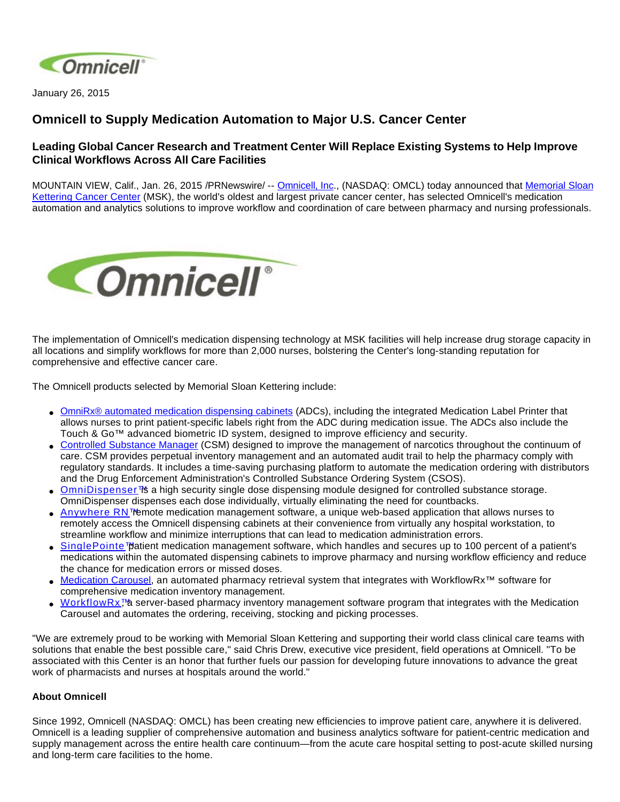

January 26, 2015

## **Omnicell to Supply Medication Automation to Major U.S. Cancer Center**

## **Leading Global Cancer Research and Treatment Center Will Replace Existing Systems to Help Improve Clinical Workflows Across All Care Facilities**

MOUNTAIN VIEW, Calif., Jan. 26, 2015 /PRNewswire/ -- [Omnicell, Inc.](http://www.omnicell.com/), (NASDAQ: OMCL) today announced that [Memorial Sloan](http://www.mskcc.org/)  [Kettering Cancer Center](http://www.mskcc.org/) (MSK), the world's oldest and largest private cancer center, has selected Omnicell's medication automation and analytics solutions to improve workflow and coordination of care between pharmacy and nursing professionals.



The implementation of Omnicell's medication dispensing technology at MSK facilities will help increase drug storage capacity in all locations and simplify workflows for more than 2,000 nurses, bolstering the Center's long-standing reputation for comprehensive and effective cancer care.

The Omnicell products selected by Memorial Sloan Kettering include:

- [OmniRx® automated medication dispensing cabinets](http://www.omnicell.com/Products/Medication_Dispensing/Automated_Medication_Dispensing_Cabinets.aspx) (ADCs), including the integrated Medication Label Printer that allows nurses to print patient-specific labels right from the ADC during medication issue. The ADCs also include the Touch & Go™ advanced biometric ID system, designed to improve efficiency and security.
- [Controlled Substance Manager](http://www.omnicell.com/Products/Central_Pharmacy_Automation/Controlled_Substance_Manager.aspx) (CSM) designed to improve the management of narcotics throughout the continuum of care. CSM provides perpetual inventory management and an automated audit trail to help the pharmacy comply with regulatory standards. It includes a time-saving purchasing platform to automate the medication ordering with distributors and the Drug Enforcement Administration's Controlled Substance Ordering System (CSOS).
- [OmniDispenser™](http://www.omnicell.com/Products/Medication_Dispensing/OmniDispenser_Module.aspx) a high security single dose dispensing module designed for controlled substance storage. OmniDispenser dispenses each dose individually, virtually eliminating the need for countbacks.
- [Anywhere RN™](http://www.omnicell.com/Products/Medication_Dispensing/Anywhere_RN_Remote_Medication_Management.aspx) emote medication management software, a unique web-based application that allows nurses to remotely access the Omnicell dispensing cabinets at their convenience from virtually any hospital workstation, to streamline workflow and minimize interruptions that can lead to medication administration errors.
- [SinglePointe™](http://www.omnicell.com/Products/Medication_Dispensing/SinglePointe_Patient_Medication_Management.aspx) patient medication management software, which handles and secures up to 100 percent of a patient's medications within the automated dispensing cabinets to improve pharmacy and nursing workflow efficiency and reduce the chance for medication errors or missed doses.
- [Medication Carousel](http://www.omnicell.com/Products/Central_Pharmacy_Automation/WorkflowRx_System/Inventory_Management_Carousel.aspx), an automated pharmacy retrieval system that integrates with WorkflowRx™ software for comprehensive medication inventory management.
- [WorkflowRx™](http://www.omnicell.com/Products/Central_Pharmacy_Automation/WorkflowRx_System.aspx) server-based pharmacy inventory management software program that integrates with the Medication Carousel and automates the ordering, receiving, stocking and picking processes.

"We are extremely proud to be working with Memorial Sloan Kettering and supporting their world class clinical care teams with solutions that enable the best possible care," said Chris Drew, executive vice president, field operations at Omnicell. "To be associated with this Center is an honor that further fuels our passion for developing future innovations to advance the great work of pharmacists and nurses at hospitals around the world."

## **About Omnicell**

Since 1992, Omnicell (NASDAQ: OMCL) has been creating new efficiencies to improve patient care, anywhere it is delivered. Omnicell is a leading supplier of comprehensive automation and business analytics software for patient-centric medication and supply management across the entire health care continuum—from the acute care hospital setting to post-acute skilled nursing and long-term care facilities to the home.